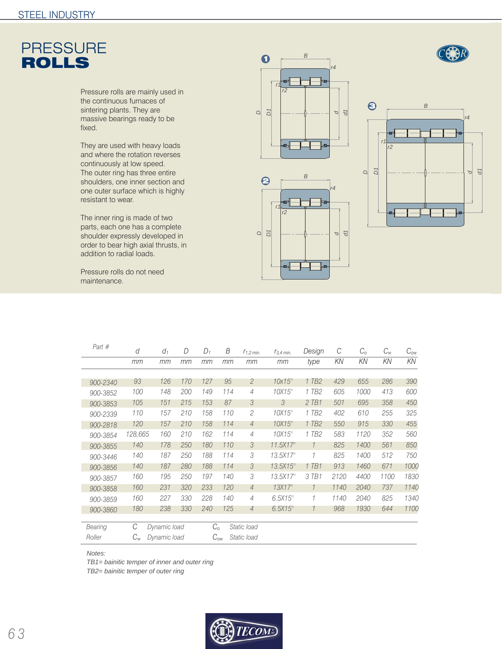

Pressure rolls are mainly used in the continuous furnaces of sintering plants. They are massive bearings ready to be fixed.

They are used with heavy loads and where the rotation reverses continuously at low speed. The outer ring has three entire shoulders, one inner section and one outer surface which is highly resistant to wear.

The inner ring is made of two parts, each one has a complete shoulder expressly developed in order to bear high axial thrusts, in addition to radial loads.

Pressure rolls do not need maintenance.



*B*

*D D1*

 $\Theta$ 

*r1 r2*

*d*

*r4*

lec

*d1*



| Part #   | d       | $d_1$             | D   | $D_1$                   | B           | $I_{1,2}$ min. | $I_{3,4}$ min.        | Design              | C    | $C_{\rm o}$ | $C_{w}$ | $C_{ow}$ |
|----------|---------|-------------------|-----|-------------------------|-------------|----------------|-----------------------|---------------------|------|-------------|---------|----------|
|          | mm      | mm                | mm  | mm                      | mm          | mm             | mm                    | type                | KN   | KN          | KN      | KN       |
|          |         |                   |     |                         |             |                |                       |                     |      |             |         |          |
| 900-2340 | 93      | 126               | 170 | 127                     | 95          | $\overline{2}$ | $10x15^\circ$         | $1$ TB <sub>2</sub> | 429  | 655         | 286     | 390      |
| 900-3852 | 100     | 148               | 200 | 149                     | 114         | $\overline{4}$ | $10X15^\circ$         | 1 TB <sub>2</sub>   | 605  | 1000        | 413     | 600      |
| 900-3853 | 105     | 151               | 215 | 153                     | 87          | 3              | 3                     | $2$ TB1             | 501  | 695         | 358     | 450      |
| 900-2339 | 110     | 157               | 210 | 158                     | 110         | $\overline{c}$ | $10X15^\circ$         | 1 TB <sub>2</sub>   | 402  | 610         | 255     | 325      |
| 900-2818 | 120     | 157               | 210 | 158                     | 114         | $\overline{4}$ | $10X15^\circ$         | $1$ TB <sub>2</sub> | 550  | 915         | 330     | 455      |
| 900-3854 | 128,665 | 160               | 210 | 162                     | 114         | $\overline{4}$ | $10X15^\circ$         | 1 TB <sub>2</sub>   | 583  | 1120        | 352     | 560      |
| 900-3855 | 140     | 178               | 250 | 180                     | 110         | 3              | $11.5X17^{\circ}$     | $\mathcal{I}$       | 825  | 1400        | 561     | 850      |
| 900-3446 | 140     | 187               | 250 | 188                     | 114         | 3              | $13.5$ X17 $^{\circ}$ | 1                   | 825  | 1400        | 512     | 750      |
| 900-3856 | 140     | 187               | 280 | 188                     | 114         | 3              | $13.5\times15^\circ$  | 1 TB1               | 913  | 1460        | 671     | 1000     |
| 900-3857 | 160     | 195               | 250 | 197                     | 140         | 3              | $13.5$ X17 $^{\circ}$ | 3 TB1               | 2120 | 4400        | 1100    | 1830     |
| 900-3858 | 160     | 231               | 320 | 233                     | 120         | $\overline{4}$ | $13X17^\circ$         | $\mathcal{I}$       | 1140 | 2040        | 737     | 1140     |
| 900-3859 | 160     | 227               | 330 | 228                     | 140         | $\overline{4}$ | $6.5X15^\circ$        | $\mathcal{I}$       | 1140 | 2040        | 825     | 1340     |
| 900-3860 | 180     | 238               | 330 | 240                     | 125         | $\overline{4}$ | $6.5X15^\circ$        | $\mathcal{I}$       | 968  | 1930        | 644     | 1100     |
| Bearing  |         | С<br>Dynamic load |     |                         | $C_{\rm o}$ | Static load    |                       |                     |      |             |         |          |
| Roller   | $C_w$   | Dynamic load      |     | $C_{ow}$<br>Static load |             |                |                       |                     |      |             |         |          |

*Notes:* 

*TB1= bainitic temper of inner and outer ring*

*TB2= bainitic temper of outer ring*